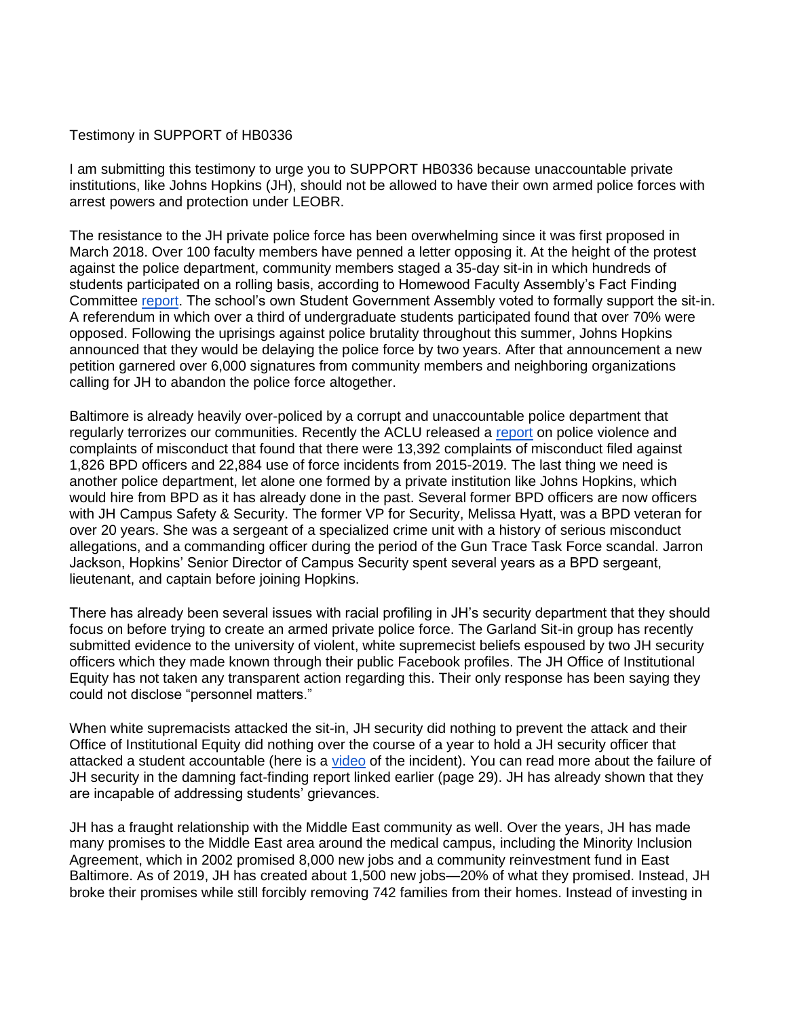## Testimony in SUPPORT of HB0336

I am submitting this testimony to urge you to SUPPORT HB0336 because unaccountable private institutions, like Johns Hopkins (JH), should not be allowed to have their own armed police forces with arrest powers and protection under LEOBR.

The resistance to the JH private police force has been overwhelming since it was first proposed in March 2018. Over 100 faculty members have penned a letter opposing it. At the height of the protest against the police department, community members staged a 35-day sit-in in which hundreds of students participated on a rolling basis, according to Homewood Faculty Assembly's Fact Finding Committee [report.](https://facultyassembly.jhu.edu/files/2019/12/Homewood-Faculty-Assembly-Fact-Finding-Committee-Report.pdf) The school's own Student Government Assembly voted to formally support the sit-in. A referendum in which over a third of undergraduate students participated found that over 70% were opposed. Following the uprisings against police brutality throughout this summer, Johns Hopkins announced that they would be delaying the police force by two years. After that announcement a new petition garnered over 6,000 signatures from community members and neighboring organizations calling for JH to abandon the police force altogether.

Baltimore is already heavily over-policed by a corrupt and unaccountable police department that regularly terrorizes our communities. Recently the ACLU released a [report](https://www.aclu-md.org/en/publications/chasing-justice-addressing-police-violence-and-corruption-maryland) on police violence and complaints of misconduct that found that there were 13,392 complaints of misconduct filed against 1,826 BPD officers and 22,884 use of force incidents from 2015-2019. The last thing we need is another police department, let alone one formed by a private institution like Johns Hopkins, which would hire from BPD as it has already done in the past. Several former BPD officers are now officers with JH Campus Safety & Security. The former VP for Security, Melissa Hyatt, was a BPD veteran for over 20 years. She was a sergeant of a specialized crime unit with a history of serious misconduct allegations, and a commanding officer during the period of the Gun Trace Task Force scandal. Jarron Jackson, Hopkins' Senior Director of Campus Security spent several years as a BPD sergeant, lieutenant, and captain before joining Hopkins.

There has already been several issues with racial profiling in JH's security department that they should focus on before trying to create an armed private police force. The Garland Sit-in group has recently submitted evidence to the university of violent, white supremecist beliefs espoused by two JH security officers which they made known through their public Facebook profiles. The JH Office of Institutional Equity has not taken any transparent action regarding this. Their only response has been saying they could not disclose "personnel matters."

When white supremacists attacked the sit-in, JH security did nothing to prevent the attack and their Office of Institutional Equity did nothing over the course of a year to hold a JH security officer that attacked a student accountable (here is a [video](https://www.facebook.com/TheGarlandSitIn/videos/858719014598974/?v=858719014598974) of the incident). You can read more about the failure of JH security in the damning fact-finding report linked earlier (page 29). JH has already shown that they are incapable of addressing students' grievances.

JH has a fraught relationship with the Middle East community as well. Over the years, JH has made many promises to the Middle East area around the medical campus, including the Minority Inclusion Agreement, which in 2002 promised 8,000 new jobs and a community reinvestment fund in East Baltimore. As of 2019, JH has created about 1,500 new jobs—20% of what they promised. Instead, JH broke their promises while still forcibly removing 742 families from their homes. Instead of investing in